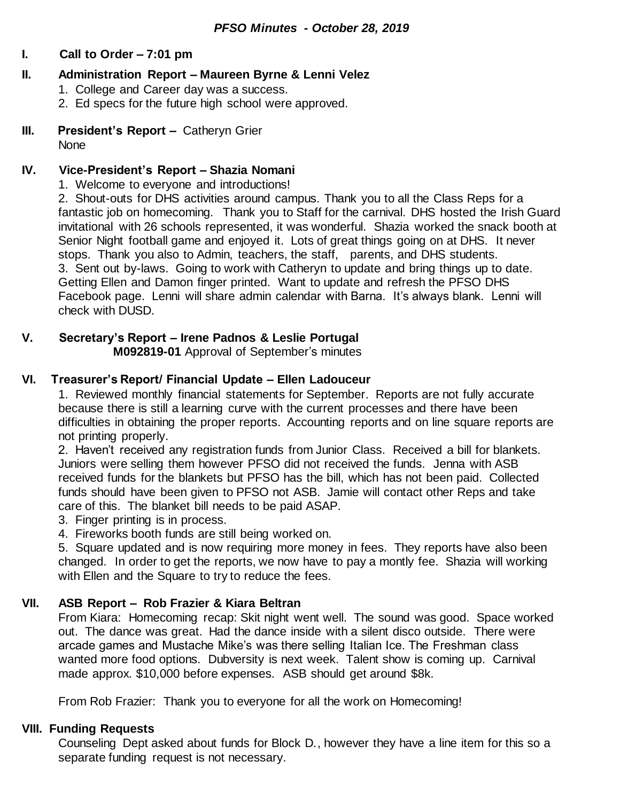#### **I. Call to Order – 7:01 pm**

### **II. Administration Report – Maureen Byrne & Lenni Velez**

- 1. College and Career day was a success.
- 2. Ed specs for the future high school were approved.

### **III. President's Report –** Catheryn Grier

**None** 

### **IV. Vice-President's Report – Shazia Nomani**

1. Welcome to everyone and introductions!

2. Shout-outs for DHS activities around campus. Thank you to all the Class Reps for a fantastic job on homecoming. Thank you to Staff for the carnival. DHS hosted the Irish Guard invitational with 26 schools represented, it was wonderful. Shazia worked the snack booth at Senior Night football game and enjoyed it. Lots of great things going on at DHS. It never stops. Thank you also to Admin, teachers, the staff, parents, and DHS students. 3. Sent out by-laws. Going to work with Catheryn to update and bring things up to date. Getting Ellen and Damon finger printed. Want to update and refresh the PFSO DHS Facebook page. Lenni will share admin calendar with Barna. It's always blank. Lenni will check with DUSD.

#### **V. Secretary's Report – Irene Padnos & Leslie Portugal M092819-01** Approval of September's minutes

### **VI. Treasurer's Report/ Financial Update – Ellen Ladouceur**

1. Reviewed monthly financial statements for September. Reports are not fully accurate because there is still a learning curve with the current processes and there have been difficulties in obtaining the proper reports. Accounting reports and on line square reports are not printing properly.

2. Haven't received any registration funds from Junior Class. Received a bill for blankets. Juniors were selling them however PFSO did not received the funds. Jenna with ASB received funds for the blankets but PFSO has the bill, which has not been paid. Collected funds should have been given to PFSO not ASB. Jamie will contact other Reps and take care of this. The blanket bill needs to be paid ASAP.

- 3. Finger printing is in process.
- 4. Fireworks booth funds are still being worked on.

5. Square updated and is now requiring more money in fees. They reports have also been changed. In order to get the reports, we now have to pay a montly fee. Shazia will working with Ellen and the Square to try to reduce the fees.

### **VII. ASB Report – Rob Frazier & Kiara Beltran**

From Kiara: Homecoming recap: Skit night went well. The sound was good. Space worked out. The dance was great. Had the dance inside with a silent disco outside. There were arcade games and Mustache Mike's was there selling Italian Ice. The Freshman class wanted more food options. Dubversity is next week. Talent show is coming up. Carnival made approx. \$10,000 before expenses. ASB should get around \$8k.

From Rob Frazier: Thank you to everyone for all the work on Homecoming!

### **VIII. Funding Requests**

Counseling Dept asked about funds for Block D., however they have a line item for this so a separate funding request is not necessary.